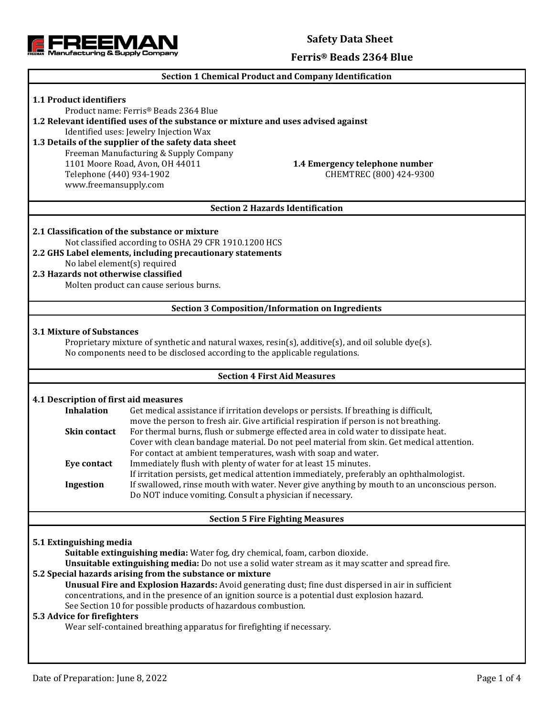

### **Safety Data Sheet**

#### **Ferris® Beads 2364 Blue**

#### **Section 1 Chemical Product and Company Identification**

# **1.1 Product identifiers** Product name: Ferris® Beads 2364 Blue **1.2 Relevant identified uses of the substance or mixture and uses advised against** Identified uses: Jewelry Injection Wax **1.3 Details of the supplier of the safety data sheet** Freeman Manufacturing & Supply Company 1101 Moore Road, Avon, OH 44011 **1.4 Emergency telephone number** Telephone (440) 934-1902 CHEMTREC (800) 424-9300 www.freemansupply.com **Section 2 Hazards Identification 2.1 Classification of the substance or mixture** Not classified according to OSHA 29 CFR 1910.1200 HCS **2.2 GHS Label elements, including precautionary statements** No label element(s) required **2.3 Hazards not otherwise classified** Molten product can cause serious burns. **Section 3 Composition/Information on Ingredients 3.1 Mixture of Substances** Proprietary mixture of synthetic and natural waxes, resin(s), additive(s), and oil soluble dye(s). No components need to be disclosed according to the applicable regulations. **Section 4 First Aid Measures 4.1 Description of first aid measures Inhalation** Get medical assistance if irritation develops or persists. If breathing is difficult, move the person to fresh air. Give artificial respiration if person is not breathing. **Skin contact** For thermal burns, flush or submerge effected area in cold water to dissipate heat. Cover with clean bandage material. Do not peel material from skin. Get medical attention. For contact at ambient temperatures, wash with soap and water. **Eye contact** Immediately flush with plenty of water for at least 15 minutes. If irritation persists, get medical attention immediately, preferably an ophthalmologist. **Ingestion** If swallowed, rinse mouth with water. Never give anything by mouth to an unconscious person. Do NOT induce vomiting. Consult a physician if necessary. **Section 5 Fire Fighting Measures 5.1 Extinguishing media Suitable extinguishing media:** Water fog, dry chemical, foam, carbon dioxide. **Unsuitable extinguishing media:** Do not use a solid water stream as it may scatter and spread fire. **5.2 Special hazards arising from the substance or mixture Unusual Fire and Explosion Hazards:** Avoid generating dust; fine dust dispersed in air in sufficient concentrations, and in the presence of an ignition source is a potential dust explosion hazard. See Section 10 for possible products of hazardous combustion. **5.3 Advice for firefighters** Wear self-contained breathing apparatus for firefighting if necessary.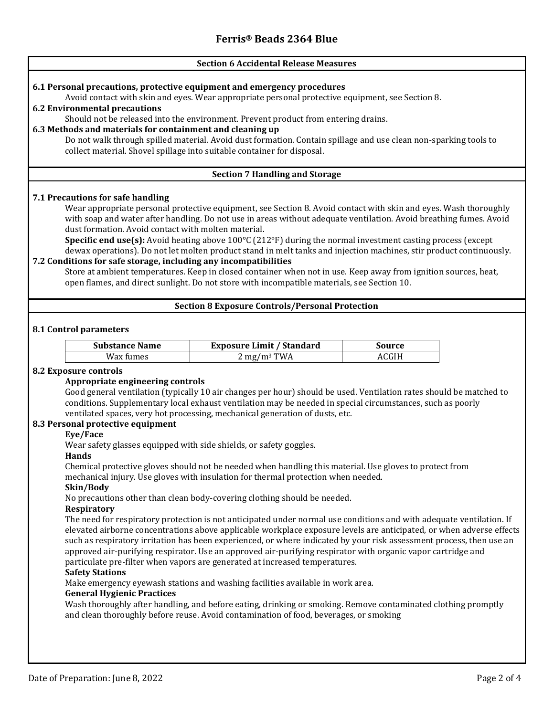## **Section 6 Accidental Release Measures 6.1 Personal precautions, protective equipment and emergency procedures** Avoid contact with skin and eyes. Wear appropriate personal protective equipment, see Section 8. **6.2 Environmental precautions** Should not be released into the environment. Prevent product from entering drains. **6.3 Methods and materials for containment and cleaning up** Do not walk through spilled material. Avoid dust formation. Contain spillage and use clean non-sparking tools to collect material. Shovel spillage into suitable container for disposal. **Section 7 Handling and Storage 7.1 Precautions for safe handling** Wear appropriate personal protective equipment, see Section 8. Avoid contact with skin and eyes. Wash thoroughly with soap and water after handling. Do not use in areas without adequate ventilation. Avoid breathing fumes. Avoid dust formation. Avoid contact with molten material. **Specific end use(s):** Avoid heating above 100°C (212°F) during the normal investment casting process (except dewax operations). Do not let molten product stand in melt tanks and injection machines, stir product continuously. **7.2 Conditions for safe storage, including any incompatibilities** Store at ambient temperatures. Keep in closed container when not in use. Keep away from ignition sources, heat, open flames, and direct sunlight. Do not store with incompatible materials, see Section 10. **Section 8 Exposure Controls/Personal Protection 8.1 Control parameters Substance Name Exposure Limit / Standard Source**  $Wax \, \text{fumes}$  2 mg/m<sup>3</sup> TWA  $ACGIH$ **8.2 Exposure controls Appropriate engineering controls** Good general ventilation (typically 10 air changes per hour) should be used. Ventilation rates should be matched to conditions. Supplementary local exhaust ventilation may be needed in special circumstances, such as poorly ventilated spaces, very hot processing, mechanical generation of dusts, etc. **8.3 Personal protective equipment Eye/Face** Wear safety glasses equipped with side shields, or safety goggles. **Hands** Chemical protective gloves should not be needed when handling this material. Use gloves to protect from mechanical injury. Use gloves with insulation for thermal protection when needed. **Skin/Body** No precautions other than clean body-covering clothing should be needed. **Respiratory** The need for respiratory protection is not anticipated under normal use conditions and with adequate ventilation. If elevated airborne concentrations above applicable workplace exposure levels are anticipated, or when adverse effects such as respiratory irritation has been experienced, or where indicated by your risk assessment process, then use an approved air-purifying respirator. Use an approved air-purifying respirator with organic vapor cartridge and particulate pre-filter when vapors are generated at increased temperatures. **Safety Stations** Make emergency eyewash stations and washing facilities available in work area. **General Hygienic Practices** Wash thoroughly after handling, and before eating, drinking or smoking. Remove contaminated clothing promptly and clean thoroughly before reuse. Avoid contamination of food, beverages, or smoking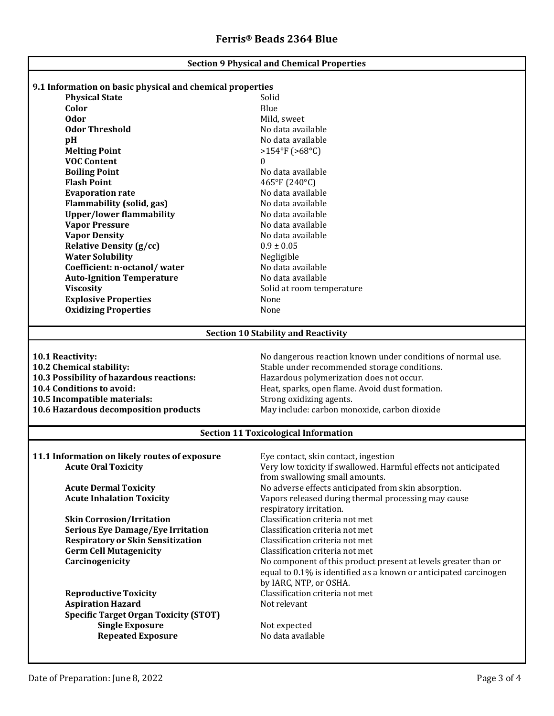| <b>Section 9 Physical and Chemical Properties</b>         |                                                                  |  |  |  |
|-----------------------------------------------------------|------------------------------------------------------------------|--|--|--|
| 9.1 Information on basic physical and chemical properties |                                                                  |  |  |  |
| <b>Physical State</b>                                     | Solid                                                            |  |  |  |
| Color                                                     | Blue                                                             |  |  |  |
| <b>Odor</b>                                               | Mild, sweet                                                      |  |  |  |
| <b>Odor Threshold</b>                                     | No data available                                                |  |  |  |
|                                                           | No data available                                                |  |  |  |
| pH                                                        | $>154^{\circ}F(>68^{\circ}C)$                                    |  |  |  |
| <b>Melting Point</b><br><b>VOC Content</b>                |                                                                  |  |  |  |
|                                                           | 0<br>No data available                                           |  |  |  |
| <b>Boiling Point</b><br><b>Flash Point</b>                |                                                                  |  |  |  |
|                                                           | 465°F (240°C)                                                    |  |  |  |
| <b>Evaporation rate</b>                                   | No data available                                                |  |  |  |
| <b>Flammability (solid, gas)</b>                          | No data available                                                |  |  |  |
| <b>Upper/lower flammability</b>                           | No data available                                                |  |  |  |
| <b>Vapor Pressure</b>                                     | No data available                                                |  |  |  |
| <b>Vapor Density</b>                                      | No data available                                                |  |  |  |
| <b>Relative Density (g/cc)</b>                            | $0.9 \pm 0.05$                                                   |  |  |  |
| <b>Water Solubility</b>                                   | Negligible                                                       |  |  |  |
| Coefficient: n-octanol/water                              | No data available                                                |  |  |  |
| <b>Auto-Ignition Temperature</b>                          | No data available                                                |  |  |  |
| <b>Viscosity</b>                                          | Solid at room temperature                                        |  |  |  |
| <b>Explosive Properties</b>                               | None                                                             |  |  |  |
| <b>Oxidizing Properties</b>                               | None                                                             |  |  |  |
| <b>Section 10 Stability and Reactivity</b>                |                                                                  |  |  |  |
|                                                           |                                                                  |  |  |  |
| 10.1 Reactivity:                                          | No dangerous reaction known under conditions of normal use.      |  |  |  |
| 10.2 Chemical stability:                                  | Stable under recommended storage conditions.                     |  |  |  |
| 10.3 Possibility of hazardous reactions:                  | Hazardous polymerization does not occur.                         |  |  |  |
| 10.4 Conditions to avoid:                                 | Heat, sparks, open flame. Avoid dust formation.                  |  |  |  |
| 10.5 Incompatible materials:                              | Strong oxidizing agents.                                         |  |  |  |
| 10.6 Hazardous decomposition products                     | May include: carbon monoxide, carbon dioxide                     |  |  |  |
| <b>Section 11 Toxicological Information</b>               |                                                                  |  |  |  |
|                                                           |                                                                  |  |  |  |
| 11.1 Information on likely routes of exposure             | Eye contact, skin contact, ingestion                             |  |  |  |
| <b>Acute Oral Toxicity</b>                                | Very low toxicity if swallowed. Harmful effects not anticipated  |  |  |  |
|                                                           | from swallowing small amounts.                                   |  |  |  |
| <b>Acute Dermal Toxicity</b>                              | No adverse effects anticipated from skin absorption.             |  |  |  |
| <b>Acute Inhalation Toxicity</b>                          | Vapors released during thermal processing may cause              |  |  |  |
|                                                           | respiratory irritation.                                          |  |  |  |
| <b>Skin Corrosion/Irritation</b>                          | Classification criteria not met                                  |  |  |  |
| <b>Serious Eye Damage/Eye Irritation</b>                  | Classification criteria not met                                  |  |  |  |
| <b>Respiratory or Skin Sensitization</b>                  | Classification criteria not met                                  |  |  |  |
| <b>Germ Cell Mutagenicity</b>                             | Classification criteria not met                                  |  |  |  |
| Carcinogenicity                                           | No component of this product present at levels greater than or   |  |  |  |
|                                                           | equal to 0.1% is identified as a known or anticipated carcinogen |  |  |  |
|                                                           | by IARC, NTP, or OSHA.                                           |  |  |  |
| <b>Reproductive Toxicity</b>                              | Classification criteria not met                                  |  |  |  |
| <b>Aspiration Hazard</b>                                  | Not relevant                                                     |  |  |  |
| <b>Specific Target Organ Toxicity (STOT)</b>              |                                                                  |  |  |  |
| <b>Single Exposure</b>                                    | Not expected                                                     |  |  |  |
| <b>Repeated Exposure</b>                                  | No data available                                                |  |  |  |
|                                                           |                                                                  |  |  |  |